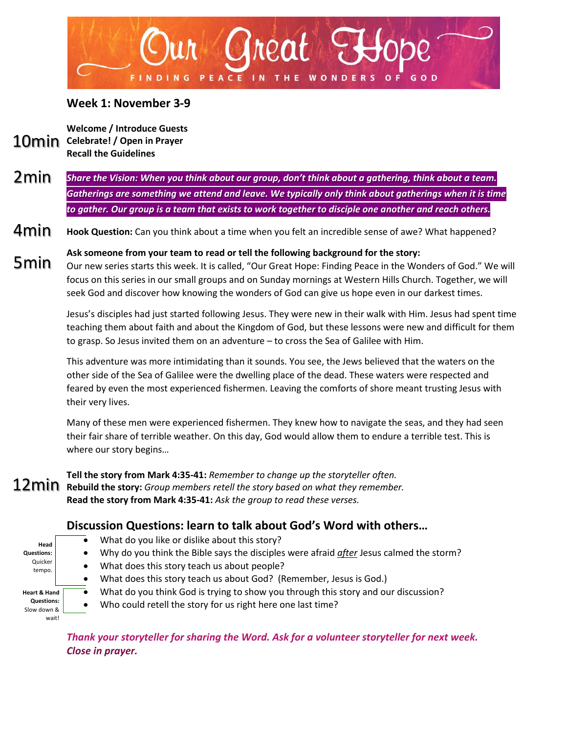

## **Week 1: November 3-9**

**Welcome / Introduce Guests** 10min Celebrate! / Open in Prayer **Recall the Guidelines**

*Share the Vision: When you think about our group, don't think about a gathering, think about a team. Gatherings are something we attend and leave. We typically only think about gatherings when it is time to gather. Our group is a team that exists to work together to disciple one another and reach others.* 2min

**Hook Question:** Can you think about a time when you felt an incredible sense of awe? What happened? 4min

**Ask someone from your team to read or tell the following background for the story:** Our new series starts this week. It is called, "Our Great Hope: Finding Peace in the Wonders of God." We will focus on this series in our small groups and on Sunday mornings at Western Hills Church. Together, we will seek God and discover how knowing the wonders of God can give us hope even in our darkest times. 5min

> Jesus's disciples had just started following Jesus. They were new in their walk with Him. Jesus had spent time teaching them about faith and about the Kingdom of God, but these lessons were new and difficult for them to grasp. So Jesus invited them on an adventure – to cross the Sea of Galilee with Him.

This adventure was more intimidating than it sounds. You see, the Jews believed that the waters on the other side of the Sea of Galilee were the dwelling place of the dead. These waters were respected and feared by even the most experienced fishermen. Leaving the comforts of shore meant trusting Jesus with their very lives.

Many of these men were experienced fishermen. They knew how to navigate the seas, and they had seen their fair share of terrible weather. On this day, God would allow them to endure a terrible test. This is where our story begins…

**Tell the story from Mark 4:35-41:** *Remember to change up the storyteller often.* **Rebuild the story:** *Group members retell the story based on what they remember.* **Read the story from Mark 4:35-41:** *Ask the group to read these verses.*

## **Discussion Questions: learn to talk about God's Word with others…**

- **Head Questions:** Quicker tempo. **Heart & Hand Questions:**  Slow down & wait!
- What do you like or dislike about this story?
- Why do you think the Bible says the disciples were afraid *after* Jesus calmed the storm?
- What does this story teach us about people?
- What does this story teach us about God? (Remember, Jesus is God.)
- What do you think God is trying to show you through this story and our discussion?
- Who could retell the story for us right here one last time?

*Thank your storyteller for sharing the Word. Ask for a volunteer storyteller for next week. Close in prayer.*